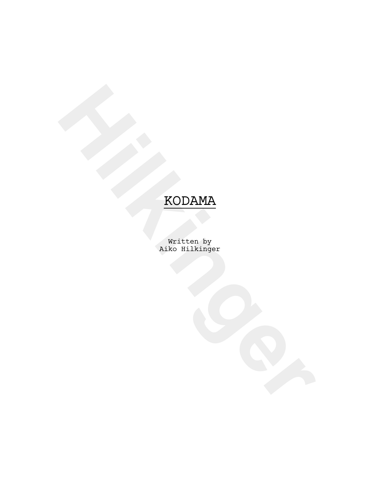**HODAMA**<br>
My iten by<br>
Akko Hilkinger<br>
Akko Hilkinger Written by Aiko Hilkinger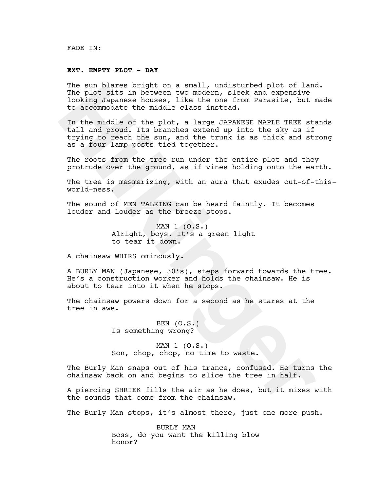FADE IN:

#### **EXT. EMPTY PLOT - DAY**

The sun blares bright on a small, undisturbed plot of land. The plot sits in between two modern, sleek and expensive looking Japanese houses, like the one from Parasite, but made to accommodate the middle class instead.

The sun plates pright on a small, undistured plot of land<br>The plot sits in between two modern, sleek and expensive<br>looking Japanese houses, like the one from Parasite, but no<br>coording Japanese houses, like the one from Par In the middle of the plot, a large JAPANESE MAPLE TREE stands tall and proud. Its branches extend up into the sky as if trying to reach the sun, and the trunk is as thick and strong as a four lamp posts tied together.

The roots from the tree run under the entire plot and they protrude over the ground, as if vines holding onto the earth.

The tree is mesmerizing, with an aura that exudes out-of-thisworld-ness.

The sound of MEN TALKING can be heard faintly. It becomes louder and louder as the breeze stops.

> MAN  $1$  (0.S.) Alright, boys. It's a green light to tear it down.

A chainsaw WHIRS ominously.

A BURLY MAN (Japanese, 30's), steps forward towards the tree. He's a construction worker and holds the chainsaw. He is about to tear into it when he stops.

The chainsaw powers down for a second as he stares at the tree in awe.

> BEN (O.S.) Is something wrong?

MAN 1 (O.S.) Son, chop, chop, no time to waste.

The Burly Man snaps out of his trance, confused. He turns the chainsaw back on and begins to slice the tree in half.

A piercing SHRIEK fills the air as he does, but it mixes with the sounds that come from the chainsaw.

The Burly Man stops, it's almost there, just one more push.

BURLY MAN Boss, do you want the killing blow honor?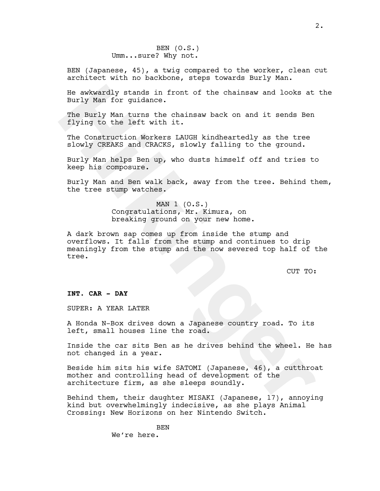## BEN (O.S.) Umm...sure? Why not.

BEN (Japanese, 45), a twig compared to the worker, clean cut architect with no backbone, steps towards Burly Man.

He awkwardly stands in front of the chainsaw and looks at the Burly Man for guidance.

The Burly Man turns the chainsaw back on and it sends Ben flying to the left with it.

The Construction Workers LAUGH kindheartedly as the tree slowly CREAKS and CRACKS, slowly falling to the ground.

Burly Man helps Ben up, who dusts himself off and tries to keep his composure.

Burly Man and Ben walk back, away from the tree. Behind them, the tree stump watches.

## MAN  $1$  (O.S.) Congratulations, Mr. Kimura, on breaking ground on your new home.

He awkwardly stands in front of the chainsaw and looks at<br>Burly Man for guidance.<br>The Burly Man turns the chainsaw back on and it sends Ben<br>Tying to the left with it.<br>The construction Workers LAUGH kindheartedly as the tre A dark brown sap comes up from inside the stump and overflows. It falls from the stump and continues to drip meaningly from the stump and the now severed top half of the tree.

CUT TO:

## **INT. CAR - DAY**

SUPER: A YEAR LATER

A Honda N-Box drives down a Japanese country road. To its left, small houses line the road.

Inside the car sits Ben as he drives behind the wheel. He has not changed in a year.

Beside him sits his wife SATOMI (Japanese, 46), a cutthroat mother and controlling head of development of the architecture firm, as she sleeps soundly.

Behind them, their daughter MISAKI (Japanese, 17), annoying kind but overwhelmingly indecisive, as she plays Animal Crossing: New Horizons on her Nintendo Switch.

> BEN We're here.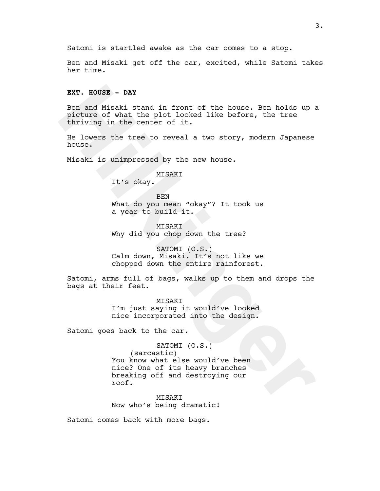Satomi is startled awake as the car comes to a stop.

Ben and Misaki get off the car, excited, while Satomi takes her time.

## **EXT. HOUSE - DAY**

**EXT. HOUSE - DAY**<br>
Ben and Misaki stand in front of the house. Ben holds up situate of what the plot looked like before, the tree<br>
thriving in the center of it.<br>
He lowers the tree to reveal a two story, modern Japanese<br> Ben and Misaki stand in front of the house. Ben holds up a picture of what the plot looked like before, the tree thriving in the center of it.

He lowers the tree to reveal a two story, modern Japanese house.

Misaki is unimpressed by the new house.

MISAKI

It's okay.

BEN What do you mean "okay"? It took us a year to build it.

**MISAKI** Why did you chop down the tree?

SATOMI (O.S.) Calm down, Misaki. It's not like we chopped down the entire rainforest.

Satomi, arms full of bags, walks up to them and drops the bags at their feet.

> MISAKI I'm just saying it would've looked nice incorporated into the design.

Satomi goes back to the car.

SATOMI (O.S.)

(sarcastic) You know what else would've been nice? One of its heavy branches breaking off and destroying our roof.

MISAKI Now who's being dramatic!

Satomi comes back with more bags.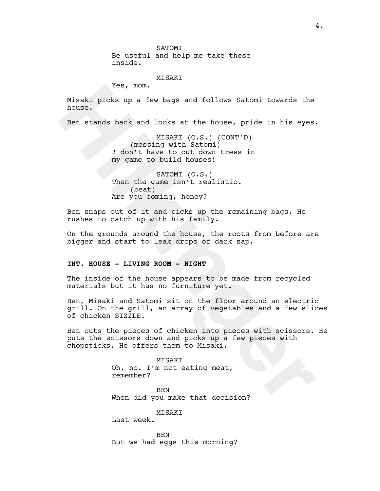**SATOMT** Be useful and help me take these inside.

#### MISAKI

Yes, mom.

Misaki picks up a few bags and follows Satomi towards the house.

Ben stands back and looks at the house, pride in his eyes.

MISAKI (O.S.) (CONT'D) (messing with Satomi) *I* don't have to cut down trees in my game to build houses!

SATOMI (O.S.) Then the game isn't realistic. (beat) Are you coming, honey?

Ben snaps out of it and picks up the remaining bags. He rushes to catch up with his family.

On the grounds around the house, the roots from before are bigger and start to leak drops of dark sap.

#### **INT. HOUSE - LIVING ROOM - NIGHT**

The inside of the house appears to be made from recycled materials but it has no furniture yet.

Yee, mom.<br>
Misaki picks up a few bags and follows Satomi towards the<br>
house.<br>
Ben stands back and looks at the house, pride in his eyes.<br>
MISAKI (COMETION THEAT (COMETION)<br>
T don't have to build house:<br>
If we you conting t Ben, Misaki and Satomi sit on the floor around an electric grill. On the grill, an array of vegetables and a few slices of chicken SIZZLE.

Ben cuts the pieces of chicken into pieces with scissors. He puts the scissors down and picks up a few pieces with chopsticks. He offers them to Misaki.

> MISAKI Oh, no. I'm not eating meat, remember?

BEN When did you make that decision?

MISAKI

Last week.

**BEN** But we had eggs this morning?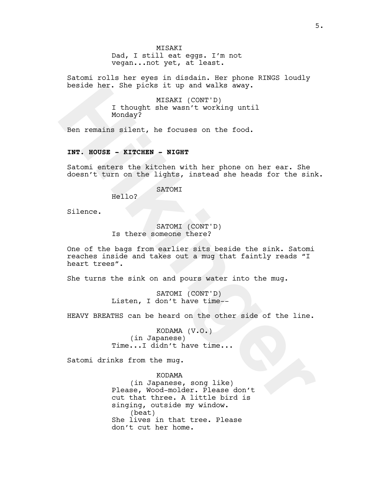#### **MTSAKT**

Dad, I still eat eggs. I'm not vegan...not yet, at least.

Satomi rolls her eyes in disdain. Her phone RINGS loudly beside her. She picks it up and walks away.

> MISAKI (CONT'D) I thought she wasn't working until Monday?

Ben remains silent, he focuses on the food.

## **INT. HOUSE - KITCHEN - NIGHT**

Satomi enters the kitchen with her phone on her ear. She doesn't turn on the lights, instead she heads for the sink.

#### SATOMI

Hello?

Silence.

# SATOMI (CONT'D) Is there someone there?

beside her. She picks it up and walks away.<br> **H** thought she wasn't working until<br>
Monday?<br>
Ben remains silent, he focuses on the food.<br> **HWT. HOUSE - KITCHEN - NIGHT**<br>
SATOMI (CONT'D)<br>
SATOMI (CONT'D)<br> **Helio?**<br> **HERE SAT** One of the bags from earlier sits beside the sink. Satomi reaches inside and takes out a mug that faintly reads "I heart trees".

She turns the sink on and pours water into the mug.

SATOMI (CONT'D) Listen, I don't have time--

HEAVY BREATHS can be heard on the other side of the line.

KODAMA (V.O.) (in Japanese) Time...I didn't have time...

Satomi drinks from the mug.

KODAMA

(in Japanese, song like) Please, Wood-molder. Please don't cut that three. A little bird is singing, outside my window. (beat) She lives in that tree. Please don't cut her home.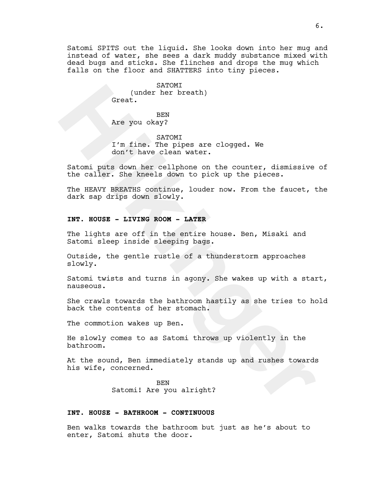Satomi SPITS out the liquid. She looks down into her mug and instead of water, she sees a dark muddy substance mixed with dead bugs and sticks. She flinches and drops the mug which falls on the floor and SHATTERS into tiny pieces.

> SATOMI (under her breath) Great.

BEN Are you okay?

SATOMI I'm fine. The pipes are clogged. We don't have clean water.

Satomi puts down her cellphone on the counter, dismissive of the caller. She kneels down to pick up the pieces.

SATOMI<br>
SERVIKET berach)<br>
Onexa,<br>
Are you okay?<br>
I'm fine The pipes are clogged. We<br>
don't have clean water.<br>
Satoming puts down her cellphone on the counter, dismissive<br>
the caller. She kneeds down to pick up the pieces.<br> The HEAVY BREATHS continue, louder now. From the faucet, the dark sap drips down slowly.

## **INT. HOUSE - LIVING ROOM - LATER**

The lights are off in the entire house. Ben, Misaki and Satomi sleep inside sleeping bags.

Outside, the gentle rustle of a thunderstorm approaches slowly.

Satomi twists and turns in agony. She wakes up with a start, nauseous.

She crawls towards the bathroom hastily as she tries to hold back the contents of her stomach.

The commotion wakes up Ben.

He slowly comes to as Satomi throws up violently in the bathroom.

At the sound, Ben immediately stands up and rushes towards his wife, concerned.

> BEN Satomi! Are you alright?

#### **INT. HOUSE - BATHROOM - CONTINUOUS**

Ben walks towards the bathroom but just as he's about to enter, Satomi shuts the door.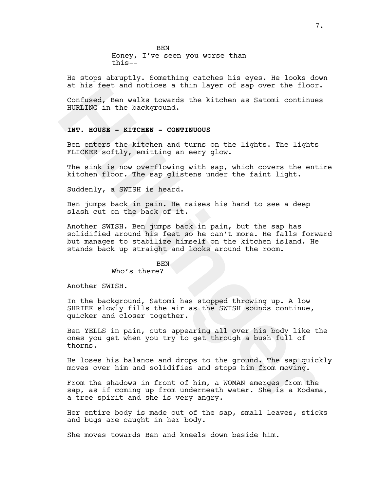**BEN** Honey, I've seen you worse than this--

He stops abruptly. Something catches his eyes. He looks down at his feet and notices a thin layer of sap over the floor.

Confused, Ben walks towards the kitchen as Satomi continues HURLING in the background.

## **INT. HOUSE - KITCHEN - CONTINUOUS**

Ben enters the kitchen and turns on the lights. The lights FLICKER softly, emitting an eery glow.

The sink is now overflowing with sap, which covers the entire kitchen floor. The sap glistens under the faint light.

Suddenly, a SWISH is heard.

Ben jumps back in pain. He raises his hand to see a deep slash cut on the back of it.

at his feet and notices a thin layer of sap over the floor<br>Confused, Ben wakks towards the kitchen as Satomi continue<br>HURLING in the background.<br>**HWT. HOUSE - KITCHEN - CONTINUOUS**<br>Ben enters the kitchen and turns on the l Another SWISH. Ben jumps back in pain, but the sap has solidified around his feet so he can't more. He falls forward but manages to stabilize himself on the kitchen island. He stands back up straight and looks around the room.

#### BEN

Who's there?

Another SWISH.

In the background, Satomi has stopped throwing up. A low SHRIEK slowly fills the air as the SWISH sounds continue, quicker and closer together.

Ben YELLS in pain, cuts appearing all over his body like the ones you get when you try to get through a bush full of thorns.

He loses his balance and drops to the ground. The sap quickly moves over him and solidifies and stops him from moving.

From the shadows in front of him, a WOMAN emerges from the sap, as if coming up from underneath water. She is a Kodama, a tree spirit and she is very angry.

Her entire body is made out of the sap, small leaves, sticks and bugs are caught in her body.

She moves towards Ben and kneels down beside him.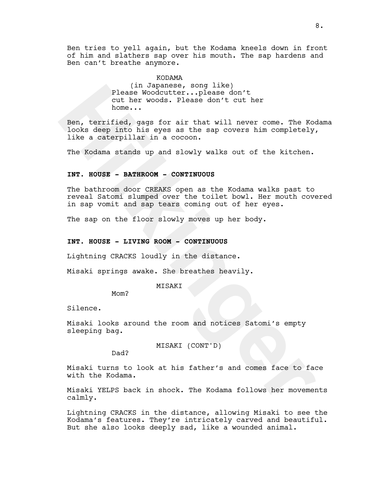Ben tries to yell again, but the Kodama kneels down in front of him and slathers sap over his mouth. The sap hardens and Ben can't breathe anymore.

> KODAMA (in Japanese, song like) Please Woodcutter...please don't cut her woods. Please don't cut her home...

(in Japanese, song like)<br>
value Woodcutter...plaase don't with the value in the value of the state of the state of the mode. Please don't cut her holds deep into his eyes as the sap covers him completely, the Kodama stands Ben, terrified, gags for air that will never come. The Kodama looks deep into his eyes as the sap covers him completely, like a caterpillar in a cocoon.

The Kodama stands up and slowly walks out of the kitchen.

## **INT. HOUSE - BATHROOM - CONTINUOUS**

The bathroom door CREAKS open as the Kodama walks past to reveal Satomi slumped over the toilet bowl. Her mouth covered in sap vomit and sap tears coming out of her eyes.

The sap on the floor slowly moves up her body.

## **INT. HOUSE - LIVING ROOM - CONTINUOUS**

Lightning CRACKS loudly in the distance.

Misaki springs awake. She breathes heavily.

#### MISAKI

Mom?

Silence.

Misaki looks around the room and notices Satomi's empty sleeping bag.

MISAKI (CONT'D)

Dad?

Misaki turns to look at his father's and comes face to face with the Kodama.

Misaki YELPS back in shock. The Kodama follows her movements calmly.

Lightning CRACKS in the distance, allowing Misaki to see the Kodama's features. They're intricately carved and beautiful. But she also looks deeply sad, like a wounded animal.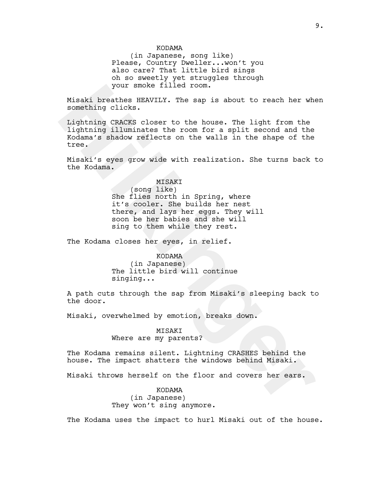#### KODAMA

(in Japanese, song like) Please, Country Dweller...won't you also care? That little bird sings oh so sweetly yet struggles through your smoke filled room.

Misaki breathes HEAVILY. The sap is about to reach her when something clicks.

your smoke filled room.<br>
Misaki braches HENNULY. The sap is about to reach her whe<br>
something clicks.<br>
Lightning CRACKS closer to the house. The light from the<br>
Hightning illuminates the room for a split second and the<br>
Ko Lightning CRACKS closer to the house. The light from the lightning illuminates the room for a split second and the Kodama's shadow reflects on the walls in the shape of the tree.

Misaki's eyes grow wide with realization. She turns back to the Kodama.

#### MISAKI

(song like) She flies north in Spring, where it's cooler. She builds her nest there, and lays her eggs. They will soon be her babies and she will sing to them while they rest.

The Kodama closes her eyes, in relief.

KODAMA (in Japanese) The little bird will continue singing...

A path cuts through the sap from Misaki's sleeping back to the door.

Misaki, overwhelmed by emotion, breaks down.

### MISAKI

Where are my parents?

The Kodama remains silent. Lightning CRASHES behind the house. The impact shatters the windows behind Misaki.

Misaki throws herself on the floor and covers her ears.

KODAMA (in Japanese) They won't sing anymore.

The Kodama uses the impact to hurl Misaki out of the house.